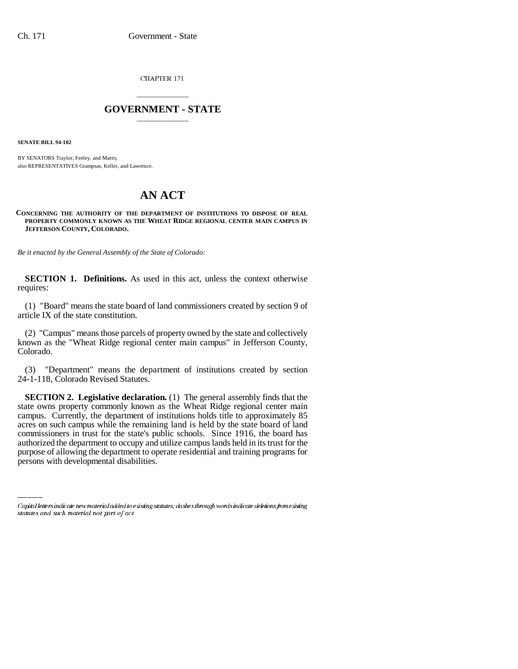CHAPTER 171

## \_\_\_\_\_\_\_\_\_\_\_\_\_\_\_ **GOVERNMENT - STATE** \_\_\_\_\_\_\_\_\_\_\_\_\_\_\_

**SENATE BILL 94-102**

BY SENATORS Traylor, Feeley, and Mares; also REPRESENTATIVES Grampsas, Keller, and Lawrence.

# **AN ACT**

#### **CONCERNING THE AUTHORITY OF THE DEPARTMENT OF INSTITUTIONS TO DISPOSE OF REAL PROPERTY COMMONLY KNOWN AS THE WHEAT RIDGE REGIONAL CENTER MAIN CAMPUS IN JEFFERSON COUNTY, COLORADO.**

*Be it enacted by the General Assembly of the State of Colorado:*

**SECTION 1. Definitions.** As used in this act, unless the context otherwise requires:

(1) "Board" means the state board of land commissioners created by section 9 of article IX of the state constitution.

(2) "Campus" means those parcels of property owned by the state and collectively known as the "Wheat Ridge regional center main campus" in Jefferson County, Colorado.

(3) "Department" means the department of institutions created by section 24-1-118, Colorado Revised Statutes.

commissioners in trust for the state's public schools. Since 1916, the board has **SECTION 2. Legislative declaration.** (1) The general assembly finds that the state owns property commonly known as the Wheat Ridge regional center main campus. Currently, the department of institutions holds title to approximately 85 acres on such campus while the remaining land is held by the state board of land authorized the department to occupy and utilize campus lands held in its trust for the purpose of allowing the department to operate residential and training programs for persons with developmental disabilities.

Capital letters indicate new material added to existing statutes; dashes through words indicate deletions from existing statutes and such material not part of act.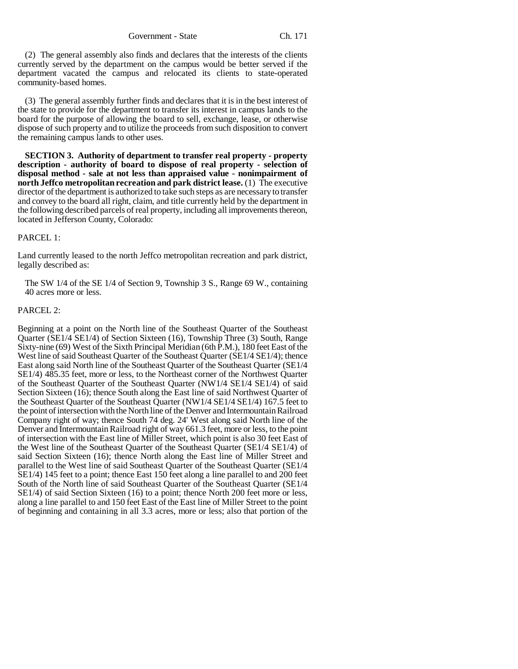Government - State Ch. 171

(2) The general assembly also finds and declares that the interests of the clients currently served by the department on the campus would be better served if the department vacated the campus and relocated its clients to state-operated community-based homes.

(3) The general assembly further finds and declares that it is in the best interest of the state to provide for the department to transfer its interest in campus lands to the board for the purpose of allowing the board to sell, exchange, lease, or otherwise dispose of such property and to utilize the proceeds from such disposition to convert the remaining campus lands to other uses.

**SECTION 3. Authority of department to transfer real property - property description - authority of board to dispose of real property - selection of disposal method - sale at not less than appraised value - nonimpairment of north Jeffco metropolitan recreation and park district lease.** (1) The executive director of the department is authorized to take such steps as are necessary to transfer and convey to the board all right, claim, and title currently held by the department in the following described parcels of real property, including all improvements thereon, located in Jefferson County, Colorado:

## PARCEL 1:

Land currently leased to the north Jeffco metropolitan recreation and park district, legally described as:

The SW 1/4 of the SE 1/4 of Section 9, Township 3 S., Range 69 W., containing 40 acres more or less.

### PARCEL 2:

Beginning at a point on the North line of the Southeast Quarter of the Southeast Quarter (SE1/4 SE1/4) of Section Sixteen (16), Township Three (3) South, Range Sixty-nine (69) West of the Sixth Principal Meridian (6th P.M.), 180 feet East of the West line of said Southeast Quarter of the Southeast Quarter (SE1/4 SE1/4); thence East along said North line of the Southeast Quarter of the Southeast Quarter (SE1/4 SE1/4) 485.35 feet, more or less, to the Northeast corner of the Northwest Quarter of the Southeast Quarter of the Southeast Quarter (NW1/4 SE1/4 SE1/4) of said Section Sixteen (16); thence South along the East line of said Northwest Quarter of the Southeast Quarter of the Southeast Quarter (NW1/4 SE1/4 SE1/4) 167.5 feet to the point of intersection with the North line of the Denver and Intermountain Railroad Company right of way; thence South 74 deg. 24' West along said North line of the Denver and Intermountain Railroad right of way 661.3 feet, more or less, to the point of intersection with the East line of Miller Street, which point is also 30 feet East of the West line of the Southeast Quarter of the Southeast Quarter (SE1/4 SE1/4) of said Section Sixteen (16); thence North along the East line of Miller Street and parallel to the West line of said Southeast Quarter of the Southeast Quarter (SE1/4 SE1/4) 145 feet to a point; thence East 150 feet along a line parallel to and 200 feet South of the North line of said Southeast Quarter of the Southeast Quarter (SE1/4 SE1/4) of said Section Sixteen (16) to a point; thence North 200 feet more or less, along a line parallel to and 150 feet East of the East line of Miller Street to the point of beginning and containing in all 3.3 acres, more or less; also that portion of the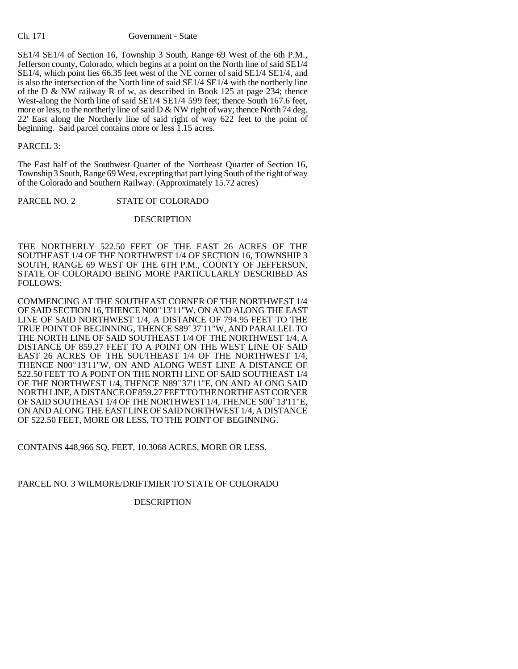#### Ch. 171 Government - State

SE1/4 SE1/4 of Section 16, Township 3 South, Range 69 West of the 6th P.M., Jefferson county, Colorado, which begins at a point on the North line of said SE1/4 SE1/4, which point lies 66.35 feet west of the NE corner of said SE1/4 SE1/4, and is also the intersection of the North line of said SE1/4 SE1/4 with the northerly line of the D & NW railway R of w, as described in Book 125 at page 234; thence West-along the North line of said SE1/4 SE1/4 599 feet; thence South 167.6 feet, more or less, to the northerly line of said D & NW right of way; thence North 74 deg. 22' East along the Northerly line of said right of way 622 feet to the point of beginning. Said parcel contains more or less 1.15 acres.

### PARCEL 3:

The East half of the Southwest Quarter of the Northeast Quarter of Section 16, Township 3 South, Range 69 West, excepting that part lying South of the right of way of the Colorado and Southern Railway. (Approximately 15.72 acres)

PARCEL NO. 2 STATE OF COLORADO

## DESCRIPTION

THE NORTHERLY 522.50 FEET OF THE EAST 26 ACRES OF THE SOUTHEAST 1/4 OF THE NORTHWEST 1/4 OF SECTION 16, TOWNSHIP 3 SOUTH, RANGE 69 WEST OF THE 6TH P.M., COUNTY OF JEFFERSON, STATE OF COLORADO BEING MORE PARTICULARLY DESCRIBED AS FOLLOWS:

COMMENCING AT THE SOUTHEAST CORNER OF THE NORTHWEST 1/4 OF SAID SECTION 16, THENCE N00°13'11"W, ON AND ALONG THE EAST LINE OF SAID NORTHWEST 1/4, A DISTANCE OF 794.95 FEET TO THE OF SAID SECTION 16, THENCE N00°13'11"W, ON AND ALONG THE EAST<br>LINE OF SAID NORTHWEST 1/4, A DISTANCE OF 794.95 FEET TO THE<br>TRUE POINT OF BEGINNING, THENCE S89°37'11"W, AND PARALLEL TO THE NORTH LINE OF SAID SOUTHEAST 1/4 OF THE NORTHWEST 1/4, A DISTANCE OF 859.27 FEET TO A POINT ON THE WEST LINE OF SAID EAST 26 ACRES OF THE SOUTHEAST 1/4 OF THE NORTHWEST 1/4, DISTANCE OF 859.27 FEET TO A POINT ON THE WEST LINE OF SAID<br>EAST 26 ACRES OF THE SOUTHEAST 1/4 OF THE NORTHWEST 1/4,<br>THENCE N00°13'11"W, ON AND ALONG WEST LINE A DISTANCE OF 522.50 FEET TO A POINT ON THE NORTH LINE OF SAID SOUTHEAST 1/4 THENCE N00°13'11"W, ON AND ALONG WEST LINE A DISTANCE OF 522.50 FEET TO A POINT ON THE NORTH LINE OF SAID SOUTHEAST 1/4 OF THE NORTHWEST 1/4, THENCE N89°37'11"E, ON AND ALONG SAID NORTH LINE, A DISTANCE OF 859.27 FEET TO THE NORTHEAST CORNER OF THE NORTHWEST 1/4, THENCE N89°37'11"E, ON AND ALONG SAID<br>NORTH LINE, A DISTANCE OF 859.27 FEET TO THE NORTHEAST CORNER<br>OF SAID SOUTHEAST 1/4 OF THE NORTHWEST 1/4, THENCE S00°13'11"E, ON AND ALONG THE EAST LINE OF SAID NORTHWEST 1/4, A DISTANCE OF 522.50 FEET, MORE OR LESS, TO THE POINT OF BEGINNING.

CONTAINS 448,966 SQ. FEET, 10.3068 ACRES, MORE OR LESS.

PARCEL NO. 3 WILMORE/DRIFTMIER TO STATE OF COLORADO

DESCRIPTION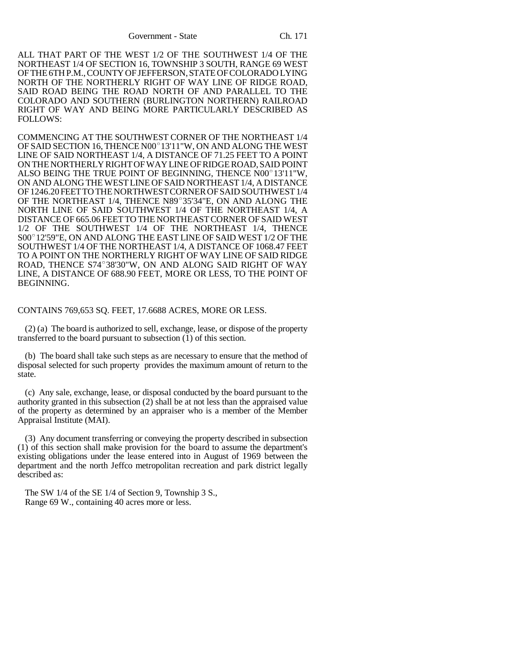ALL THAT PART OF THE WEST 1/2 OF THE SOUTHWEST 1/4 OF THE NORTHEAST 1/4 OF SECTION 16, TOWNSHIP 3 SOUTH, RANGE 69 WEST OF THE 6TH P.M., COUNTY OF JEFFERSON, STATE OF COLORADO LYING NORTH OF THE NORTHERLY RIGHT OF WAY LINE OF RIDGE ROAD, SAID ROAD BEING THE ROAD NORTH OF AND PARALLEL TO THE COLORADO AND SOUTHERN (BURLINGTON NORTHERN) RAILROAD RIGHT OF WAY AND BEING MORE PARTICULARLY DESCRIBED AS FOLLOWS:

COMMENCING AT THE SOUTHWEST CORNER OF THE NORTHEAST 1/4 OF SAID SECTION 16, THENCE N00°13'11"W, ON AND ALONG THE WEST LINE OF SAID NORTHEAST 1/4, A DISTANCE OF 71.25 FEET TO A POINT ON THE NORTHERLY RIGHT OF WAY LINE OF RIDGE ROAD, SAID POINT LINE OF SAID NORTHEAST 1/4, A DISTANCE OF 71.25 FEET TO A POINT<br>ON THE NORTHERLY RIGHT OF WAY LINE OF RIDGE ROAD, SAID POINT<br>ALSO BEING THE TRUE POINT OF BEGINNING, THENCE N00°13'11"W, ON AND ALONG THE WEST LINE OF SAID NORTHEAST 1/4, A DISTANCE OF 1246.20 FEET TO THE NORTHWEST CORNER OF SAID SOUTHWEST 1/4 OF THE NORTHEAST 1/4, THENCE N89°35'34"E, ON AND ALONG THE NORTH LINE OF SAID SOUTHWEST 1/4 OF THE NORTHEAST 1/4, A DISTANCE OF 665.06 FEET TO THE NORTHEAST CORNER OF SAID WEST 1/2 OF THE SOUTHWEST 1/4 OF THE NORTHEAST 1/4, THENCE DISTANCE OF 665.06 FEET TO THE NORTHEAST CORNER OF SAID WEST<br>1/2 OF THE SOUTHWEST 1/4 OF THE NORTHEAST 1/4, THENCE<br>S00° 12'59"E, ON AND ALONG THE EAST LINE OF SAID WEST 1/2 OF THE SOUTHWEST 1/4 OF THE NORTHEAST 1/4, A DISTANCE OF 1068.47 FEET TO A POINT ON THE NORTHERLY RIGHT OF WAY LINE OF SAID RIDGE SOUTHWEST 1/4 OF THE NORTHEAST 1/4, A DISTANCE OF 1068.47 FEET<br>TO A POINT ON THE NORTHERLY RIGHT OF WAY LINE OF SAID RIDGE<br>ROAD, THENCE S74°38'30"W, ON AND ALONG SAID RIGHT OF WAY LINE, A DISTANCE OF 688.90 FEET, MORE OR LESS, TO THE POINT OF BEGINNING.

#### CONTAINS 769,653 SQ. FEET, 17.6688 ACRES, MORE OR LESS.

(2) (a) The board is authorized to sell, exchange, lease, or dispose of the property transferred to the board pursuant to subsection (1) of this section.

(b) The board shall take such steps as are necessary to ensure that the method of disposal selected for such property provides the maximum amount of return to the state.

(c) Any sale, exchange, lease, or disposal conducted by the board pursuant to the authority granted in this subsection (2) shall be at not less than the appraised value of the property as determined by an appraiser who is a member of the Member Appraisal Institute (MAI).

(3) Any document transferring or conveying the property described in subsection (1) of this section shall make provision for the board to assume the department's existing obligations under the lease entered into in August of 1969 between the department and the north Jeffco metropolitan recreation and park district legally described as:

The SW 1/4 of the SE 1/4 of Section 9, Township 3 S., Range 69 W., containing 40 acres more or less.